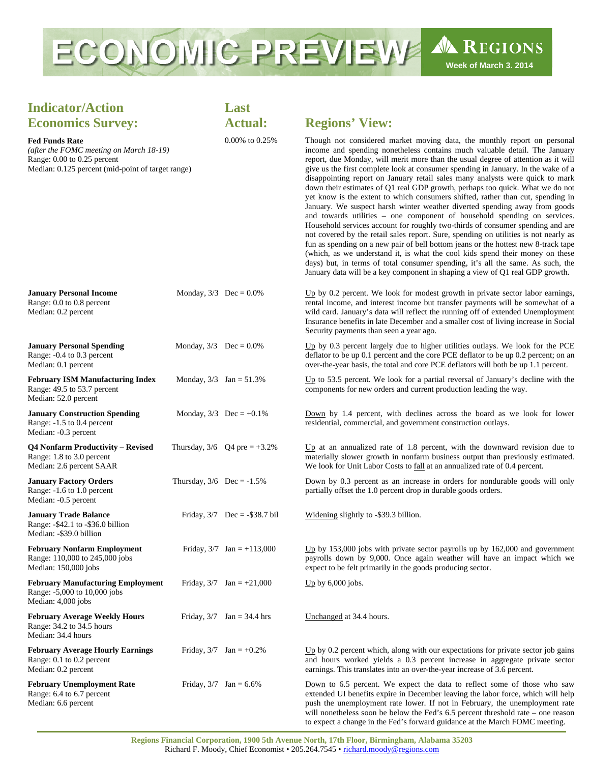

## **Indicator/Action Economics Survey:**

## **Fed Funds Rate**

*(after the FOMC meeting on March 18-19)*  Range: 0.00 to 0.25 percent Median: 0.125 percent (mid-point of target range)

**January Personal Income** Monday,  $3/3$  Dec =  $0.0\%$ 

## **Last**

## **Actual: Regions' View:**

0.00% to 0.25% Though not considered market moving data, the monthly report on personal income and spending nonetheless contains much valuable detail. The January report, due Monday, will merit more than the usual degree of attention as it will give us the first complete look at consumer spending in January. In the wake of a disappointing report on January retail sales many analysts were quick to mark down their estimates of Q1 real GDP growth, perhaps too quick. What we do not yet know is the extent to which consumers shifted, rather than cut, spending in January. We suspect harsh winter weather diverted spending away from goods and towards utilities – one component of household spending on services. Household services account for roughly two-thirds of consumer spending and are not covered by the retail sales report. Sure, spending on utilities is not nearly as fun as spending on a new pair of bell bottom jeans or the hottest new 8-track tape (which, as we understand it, is what the cool kids spend their money on these days) but, in terms of total consumer spending, it's all the same. As such, the January data will be a key component in shaping a view of Q1 real GDP growth.

 $Up$  by 0.2 percent. We look for modest growth in private sector labor earnings,

to expect a change in the Fed's forward guidance at the March FOMC meeting.

| Range: 0.0 to 0.8 percent<br>Median: 0.2 percent                                                  |                              |                                 | rental income, and interest income but transfer payments will be somewhat of a<br>wild card. January's data will reflect the running off of extended Unemployment<br>Insurance benefits in late December and a smaller cost of living increase in Social<br>Security payments than seen a year ago.                               |
|---------------------------------------------------------------------------------------------------|------------------------------|---------------------------------|-----------------------------------------------------------------------------------------------------------------------------------------------------------------------------------------------------------------------------------------------------------------------------------------------------------------------------------|
| <b>January Personal Spending</b><br>Range: -0.4 to 0.3 percent<br>Median: 0.1 percent             | Monday, $3/3$ Dec = 0.0%     |                                 | Up by 0.3 percent largely due to higher utilities outlays. We look for the PCE<br>deflator to be up 0.1 percent and the core PCE deflator to be up 0.2 percent; on an<br>over-the-year basis, the total and core PCE deflators will both be up 1.1 percent.                                                                       |
| <b>February ISM Manufacturing Index</b><br>Range: 49.5 to 53.7 percent<br>Median: 52.0 percent    | Monday, $3/3$ Jan = $51.3\%$ |                                 | $Up$ to 53.5 percent. We look for a partial reversal of January's decline with the<br>components for new orders and current production leading the way.                                                                                                                                                                           |
| <b>January Construction Spending</b><br>Range: -1.5 to 0.4 percent<br>Median: -0.3 percent        |                              | Monday, $3/3$ Dec = +0.1%       | Down by 1.4 percent, with declines across the board as we look for lower<br>residential, commercial, and government construction outlays.                                                                                                                                                                                         |
| <b>Q4 Nonfarm Productivity - Revised</b><br>Range: 1.8 to 3.0 percent<br>Median: 2.6 percent SAAR |                              | Thursday, $3/6$ Q4 pre = +3.2%  | Up at an annualized rate of 1.8 percent, with the downward revision due to<br>materially slower growth in nonfarm business output than previously estimated.<br>We look for Unit Labor Costs to fall at an annualized rate of 0.4 percent.                                                                                        |
| <b>January Factory Orders</b><br>Range: -1.6 to 1.0 percent<br>Median: -0.5 percent               | Thursday, $3/6$ Dec = -1.5%  |                                 | Down by 0.3 percent as an increase in orders for nondurable goods will only<br>partially offset the 1.0 percent drop in durable goods orders.                                                                                                                                                                                     |
| <b>January Trade Balance</b><br>Range: -\$42.1 to -\$36.0 billion<br>Median: -\$39.0 billion      |                              | Friday, $3/7$ Dec = -\$38.7 bil | Widening slightly to -\$39.3 billion.                                                                                                                                                                                                                                                                                             |
| <b>February Nonfarm Employment</b><br>Range: 110,000 to 245,000 jobs<br>Median: 150,000 jobs      |                              | Friday, $3/7$ Jan = +113,000    | $Up$ by 153,000 jobs with private sector payrolls up by 162,000 and government<br>payrolls down by 9,000. Once again weather will have an impact which we<br>expect to be felt primarily in the goods producing sector.                                                                                                           |
| <b>February Manufacturing Employment</b><br>Range: -5,000 to 10,000 jobs<br>Median: 4,000 jobs    |                              | Friday, $3/7$ Jan = +21,000     | Up by $6,000$ jobs.                                                                                                                                                                                                                                                                                                               |
| <b>February Average Weekly Hours</b><br>Range: 34.2 to 34.5 hours<br>Median: 34.4 hours           |                              | Friday, $3/7$ Jan = 34.4 hrs    | Unchanged at 34.4 hours.                                                                                                                                                                                                                                                                                                          |
| <b>February Average Hourly Earnings</b><br>Range: 0.1 to 0.2 percent<br>Median: 0.2 percent       |                              | Friday, $3/7$ Jan = +0.2%       | $Up$ by 0.2 percent which, along with our expectations for private sector job gains<br>and hours worked yields a 0.3 percent increase in aggregate private sector<br>earnings. This translates into an over-the-year increase of 3.6 percent.                                                                                     |
| <b>February Unemployment Rate</b><br>Range: 6.4 to 6.7 percent<br>Median: 6.6 percent             | Friday, $3/7$ Jan = 6.6%     |                                 | Down to 6.5 percent. We expect the data to reflect some of those who saw<br>extended UI benefits expire in December leaving the labor force, which will help<br>push the unemployment rate lower. If not in February, the unemployment rate<br>will nonetheless soon be below the Fed's $6.5$ percent threshold rate – one reason |

**Regions Financial Corporation, 1900 5th Avenue North, 17th Floor, Birmingham, Alabama 35203**  Richard F. Moody, Chief Economist • 205.264.7545 • richard.moody@regions.com